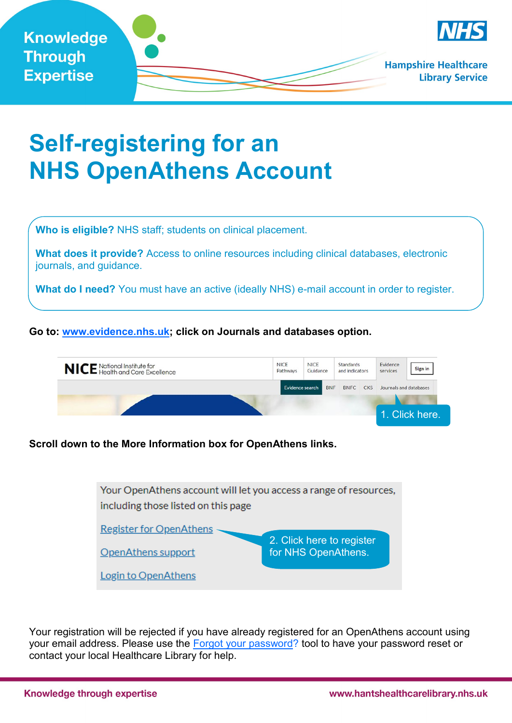

# **Self-registering for an NHS OpenAthens Account**

**Who is eligible?** NHS staff; students on clinical placement.

**What does it provide?** Access to online resources including clinical databases, electronic journals, and guidance.

**What do I need?** You must have an active (ideally NHS) e-mail account in order to register.

**Go to: [www.evidence.nhs.uk;](http://www.evidence.nhs.uk) click on Journals and databases option.**



**Scroll down to the More Information box for OpenAthens links.**



Your registration will be rejected if you have already registered for an OpenAthens account using your email address. Please use the [Forgot your password?](https://openathens.nice.org.uk/Password/Reset) tool to have your password reset or contact your local Healthcare Library for help.